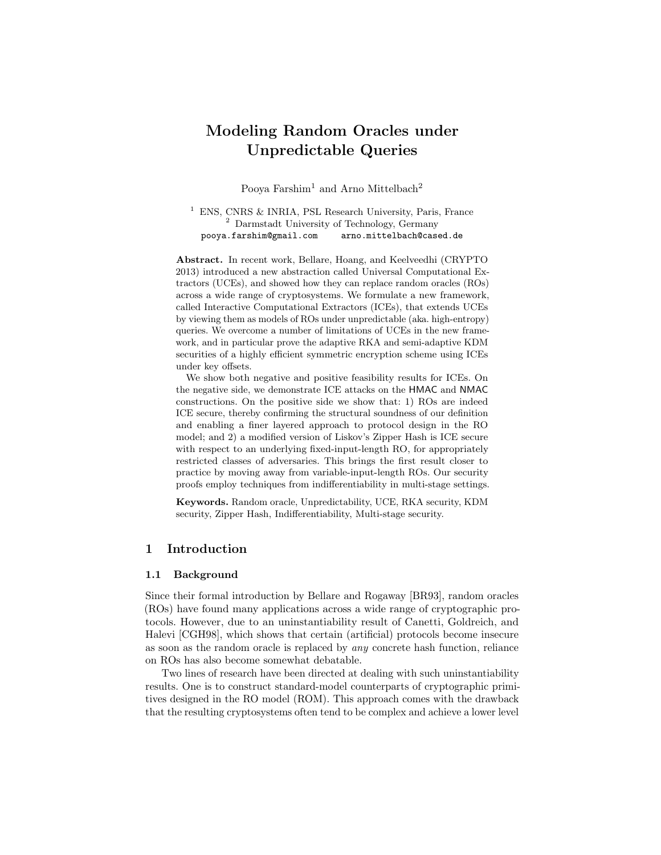# Modeling Random Oracles under Unpredictable Queries

Pooya Farshim<sup>1</sup> and Arno Mittelbach<sup>2</sup>

<sup>1</sup> ENS, CNRS & INRIA, PSL Research University, Paris, France <sup>2</sup> Darmstadt University of Technology, Germany pooya.farshim@gmail.com arno.mittelbach@cased.de

Abstract. In recent work, Bellare, Hoang, and Keelveedhi (CRYPTO 2013) introduced a new abstraction called Universal Computational Extractors (UCEs), and showed how they can replace random oracles (ROs) across a wide range of cryptosystems. We formulate a new framework, called Interactive Computational Extractors (ICEs), that extends UCEs by viewing them as models of ROs under unpredictable (aka. high-entropy) queries. We overcome a number of limitations of UCEs in the new framework, and in particular prove the adaptive RKA and semi-adaptive KDM securities of a highly efficient symmetric encryption scheme using ICEs under key offsets.

We show both negative and positive feasibility results for ICEs. On the negative side, we demonstrate ICE attacks on the HMAC and NMAC constructions. On the positive side we show that: 1) ROs are indeed ICE secure, thereby confirming the structural soundness of our definition and enabling a finer layered approach to protocol design in the RO model; and 2) a modified version of Liskov's Zipper Hash is ICE secure with respect to an underlying fixed-input-length RO, for appropriately restricted classes of adversaries. This brings the first result closer to practice by moving away from variable-input-length ROs. Our security proofs employ techniques from indifferentiability in multi-stage settings.

Keywords. Random oracle, Unpredictability, UCE, RKA security, KDM security, Zipper Hash, Indifferentiability, Multi-stage security.

# 1 Introduction

### 1.1 Background

Since their formal introduction by Bellare and Rogaway [BR93], random oracles (ROs) have found many applications across a wide range of cryptographic protocols. However, due to an uninstantiability result of Canetti, Goldreich, and Halevi [CGH98], which shows that certain (artificial) protocols become insecure as soon as the random oracle is replaced by any concrete hash function, reliance on ROs has also become somewhat debatable.

Two lines of research have been directed at dealing with such uninstantiability results. One is to construct standard-model counterparts of cryptographic primitives designed in the RO model (ROM). This approach comes with the drawback that the resulting cryptosystems often tend to be complex and achieve a lower level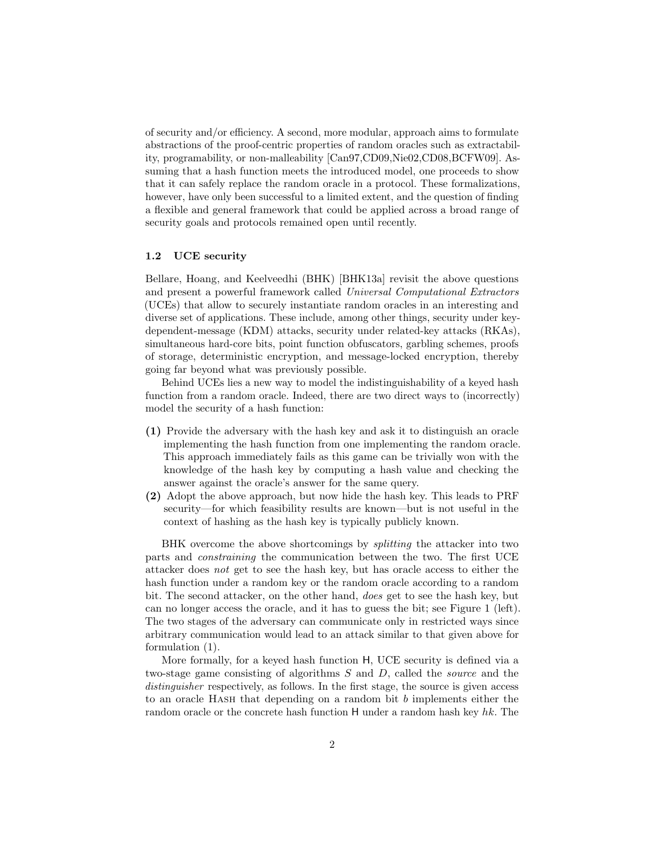of security and/or efficiency. A second, more modular, approach aims to formulate abstractions of the proof-centric properties of random oracles such as extractability, programability, or non-malleability [Can97,CD09,Nie02,CD08,BCFW09]. Assuming that a hash function meets the introduced model, one proceeds to show that it can safely replace the random oracle in a protocol. These formalizations, however, have only been successful to a limited extent, and the question of finding a flexible and general framework that could be applied across a broad range of security goals and protocols remained open until recently.

### 1.2 UCE security

Bellare, Hoang, and Keelveedhi (BHK) [BHK13a] revisit the above questions and present a powerful framework called Universal Computational Extractors (UCEs) that allow to securely instantiate random oracles in an interesting and diverse set of applications. These include, among other things, security under keydependent-message (KDM) attacks, security under related-key attacks (RKAs), simultaneous hard-core bits, point function obfuscators, garbling schemes, proofs of storage, deterministic encryption, and message-locked encryption, thereby going far beyond what was previously possible.

Behind UCEs lies a new way to model the indistinguishability of a keyed hash function from a random oracle. Indeed, there are two direct ways to (incorrectly) model the security of a hash function:

- (1) Provide the adversary with the hash key and ask it to distinguish an oracle implementing the hash function from one implementing the random oracle. This approach immediately fails as this game can be trivially won with the knowledge of the hash key by computing a hash value and checking the answer against the oracle's answer for the same query.
- (2) Adopt the above approach, but now hide the hash key. This leads to PRF security—for which feasibility results are known—but is not useful in the context of hashing as the hash key is typically publicly known.

BHK overcome the above shortcomings by splitting the attacker into two parts and constraining the communication between the two. The first UCE attacker does not get to see the hash key, but has oracle access to either the hash function under a random key or the random oracle according to a random bit. The second attacker, on the other hand, does get to see the hash key, but can no longer access the oracle, and it has to guess the bit; see Figure 1 (left). The two stages of the adversary can communicate only in restricted ways since arbitrary communication would lead to an attack similar to that given above for formulation (1).

More formally, for a keyed hash function H, UCE security is defined via a two-stage game consisting of algorithms S and D, called the source and the distinguisher respectively, as follows. In the first stage, the source is given access to an oracle HASH that depending on a random bit  $b$  implements either the random oracle or the concrete hash function  $H$  under a random hash key  $hk$ . The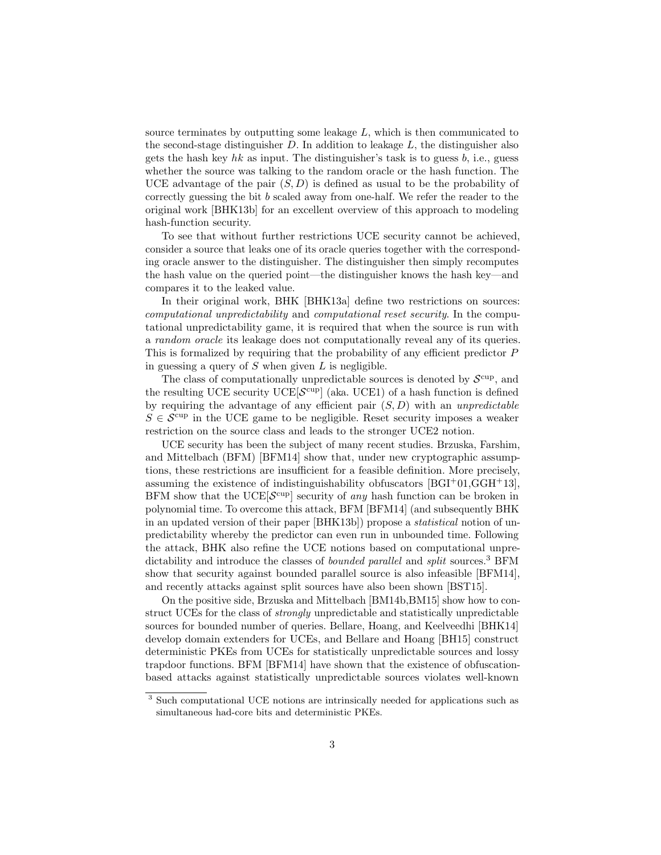source terminates by outputting some leakage  $L$ , which is then communicated to the second-stage distinguisher  $D$ . In addition to leakage  $L$ , the distinguisher also gets the hash key hk as input. The distinguisher's task is to guess  $b$ , i.e., guess whether the source was talking to the random oracle or the hash function. The UCE advantage of the pair  $(S, D)$  is defined as usual to be the probability of correctly guessing the bit b scaled away from one-half. We refer the reader to the original work [BHK13b] for an excellent overview of this approach to modeling hash-function security.

To see that without further restrictions UCE security cannot be achieved, consider a source that leaks one of its oracle queries together with the corresponding oracle answer to the distinguisher. The distinguisher then simply recomputes the hash value on the queried point—the distinguisher knows the hash key—and compares it to the leaked value.

In their original work, BHK [BHK13a] define two restrictions on sources: computational unpredictability and computational reset security. In the computational unpredictability game, it is required that when the source is run with a random oracle its leakage does not computationally reveal any of its queries. This is formalized by requiring that the probability of any efficient predictor P in guessing a query of  $S$  when given  $L$  is negligible.

The class of computationally unpredictable sources is denoted by  $\mathcal{S}^{\text{cup}}$ , and the resulting UCE security  $\text{UCE}[\mathcal{S}^{\text{cup}}]$  (aka. UCE1) of a hash function is defined by requiring the advantage of any efficient pair  $(S, D)$  with an unpredictable  $S \in \mathcal{S}^{\text{cup}}$  in the UCE game to be negligible. Reset security imposes a weaker restriction on the source class and leads to the stronger UCE2 notion.

UCE security has been the subject of many recent studies. Brzuska, Farshim, and Mittelbach (BFM) [BFM14] show that, under new cryptographic assumptions, these restrictions are insufficient for a feasible definition. More precisely, assuming the existence of indistinguishability obfuscators  $[BGI^+01, GGH^+13]$ . BFM show that the UCE $[\mathcal{S}^{\text{cup}}]$  security of any hash function can be broken in polynomial time. To overcome this attack, BFM [BFM14] (and subsequently BHK in an updated version of their paper [BHK13b]) propose a statistical notion of unpredictability whereby the predictor can even run in unbounded time. Following the attack, BHK also refine the UCE notions based on computational unpredictability and introduce the classes of *bounded parallel* and *split* sources.<sup>3</sup> BFM show that security against bounded parallel source is also infeasible [BFM14], and recently attacks against split sources have also been shown [BST15].

On the positive side, Brzuska and Mittelbach [BM14b,BM15] show how to construct UCEs for the class of strongly unpredictable and statistically unpredictable sources for bounded number of queries. Bellare, Hoang, and Keelveedhi [BHK14] develop domain extenders for UCEs, and Bellare and Hoang [BH15] construct deterministic PKEs from UCEs for statistically unpredictable sources and lossy trapdoor functions. BFM [BFM14] have shown that the existence of obfuscationbased attacks against statistically unpredictable sources violates well-known

<sup>&</sup>lt;sup>3</sup> Such computational UCE notions are intrinsically needed for applications such as simultaneous had-core bits and deterministic PKEs.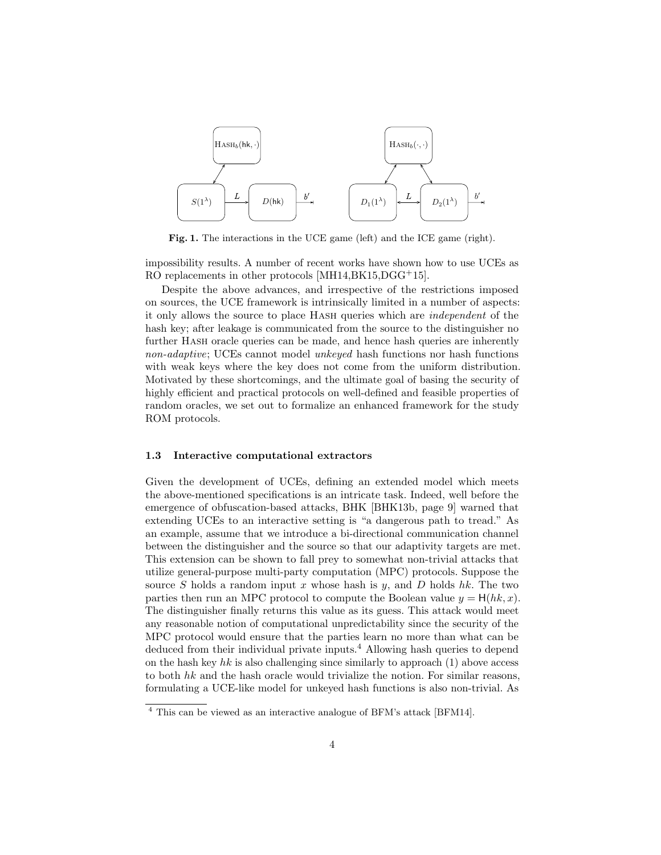

Fig. 1. The interactions in the UCE game (left) and the ICE game (right).

impossibility results. A number of recent works have shown how to use UCEs as RO replacements in other protocols [MH14,BK15,DGG+15].

Despite the above advances, and irrespective of the restrictions imposed on sources, the UCE framework is intrinsically limited in a number of aspects: it only allows the source to place Hash queries which are independent of the hash key; after leakage is communicated from the source to the distinguisher no further Hash oracle queries can be made, and hence hash queries are inherently non-adaptive; UCEs cannot model unkeyed hash functions nor hash functions with weak keys where the key does not come from the uniform distribution. Motivated by these shortcomings, and the ultimate goal of basing the security of highly efficient and practical protocols on well-defined and feasible properties of random oracles, we set out to formalize an enhanced framework for the study ROM protocols.

# 1.3 Interactive computational extractors

Given the development of UCEs, defining an extended model which meets the above-mentioned specifications is an intricate task. Indeed, well before the emergence of obfuscation-based attacks, BHK [BHK13b, page 9] warned that extending UCEs to an interactive setting is "a dangerous path to tread." As an example, assume that we introduce a bi-directional communication channel between the distinguisher and the source so that our adaptivity targets are met. This extension can be shown to fall prey to somewhat non-trivial attacks that utilize general-purpose multi-party computation (MPC) protocols. Suppose the source S holds a random input x whose hash is  $y$ , and D holds hk. The two parties then run an MPC protocol to compute the Boolean value  $y = H(hk, x)$ . The distinguisher finally returns this value as its guess. This attack would meet any reasonable notion of computational unpredictability since the security of the MPC protocol would ensure that the parties learn no more than what can be deduced from their individual private inputs.<sup>4</sup> Allowing hash queries to depend on the hash key  $hk$  is also challenging since similarly to approach  $(1)$  above access to both  $hk$  and the hash oracle would trivialize the notion. For similar reasons, formulating a UCE-like model for unkeyed hash functions is also non-trivial. As

<sup>4</sup> This can be viewed as an interactive analogue of BFM's attack [BFM14].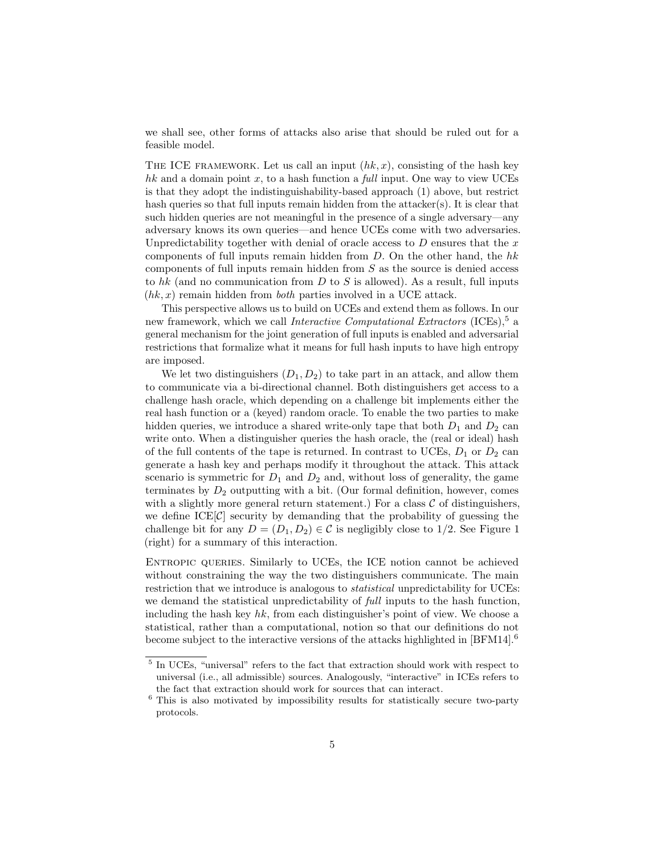we shall see, other forms of attacks also arise that should be ruled out for a feasible model.

THE ICE FRAMEWORK. Let us call an input  $(hk, x)$ , consisting of the hash key hk and a domain point x, to a hash function a full input. One way to view UCEs is that they adopt the indistinguishability-based approach (1) above, but restrict hash queries so that full inputs remain hidden from the attacker(s). It is clear that such hidden queries are not meaningful in the presence of a single adversary—any adversary knows its own queries—and hence UCEs come with two adversaries. Unpredictability together with denial of oracle access to  $D$  ensures that the  $x$ components of full inputs remain hidden from  $D$ . On the other hand, the hk components of full inputs remain hidden from S as the source is denied access to hk (and no communication from D to S is allowed). As a result, full inputs  $(hk, x)$  remain hidden from *both* parties involved in a UCE attack.

This perspective allows us to build on UCEs and extend them as follows. In our new framework, which we call *Interactive Computational Extractors* (ICEs),<sup>5</sup> a general mechanism for the joint generation of full inputs is enabled and adversarial restrictions that formalize what it means for full hash inputs to have high entropy are imposed.

We let two distinguishers  $(D_1, D_2)$  to take part in an attack, and allow them to communicate via a bi-directional channel. Both distinguishers get access to a challenge hash oracle, which depending on a challenge bit implements either the real hash function or a (keyed) random oracle. To enable the two parties to make hidden queries, we introduce a shared write-only tape that both  $D_1$  and  $D_2$  can write onto. When a distinguisher queries the hash oracle, the (real or ideal) hash of the full contents of the tape is returned. In contrast to UCEs,  $D_1$  or  $D_2$  can generate a hash key and perhaps modify it throughout the attack. This attack scenario is symmetric for  $D_1$  and  $D_2$  and, without loss of generality, the game terminates by  $D_2$  outputting with a bit. (Our formal definition, however, comes with a slightly more general return statement.) For a class  $C$  of distinguishers, we define  $\text{ICE}[\mathcal{C}]$  security by demanding that the probability of guessing the challenge bit for any  $D = (D_1, D_2) \in \mathcal{C}$  is negligibly close to 1/2. See Figure 1 (right) for a summary of this interaction.

Entropic queries. Similarly to UCEs, the ICE notion cannot be achieved without constraining the way the two distinguishers communicate. The main restriction that we introduce is analogous to *statistical* unpredictability for UCEs: we demand the statistical unpredictability of *full* inputs to the hash function, including the hash key  $hk$ , from each distinguisher's point of view. We choose a statistical, rather than a computational, notion so that our definitions do not become subject to the interactive versions of the attacks highlighted in [BFM14].<sup>6</sup>

<sup>&</sup>lt;sup>5</sup> In UCEs, "universal" refers to the fact that extraction should work with respect to universal (i.e., all admissible) sources. Analogously, "interactive" in ICEs refers to the fact that extraction should work for sources that can interact.

 $6$  This is also motivated by impossibility results for statistically secure two-party protocols.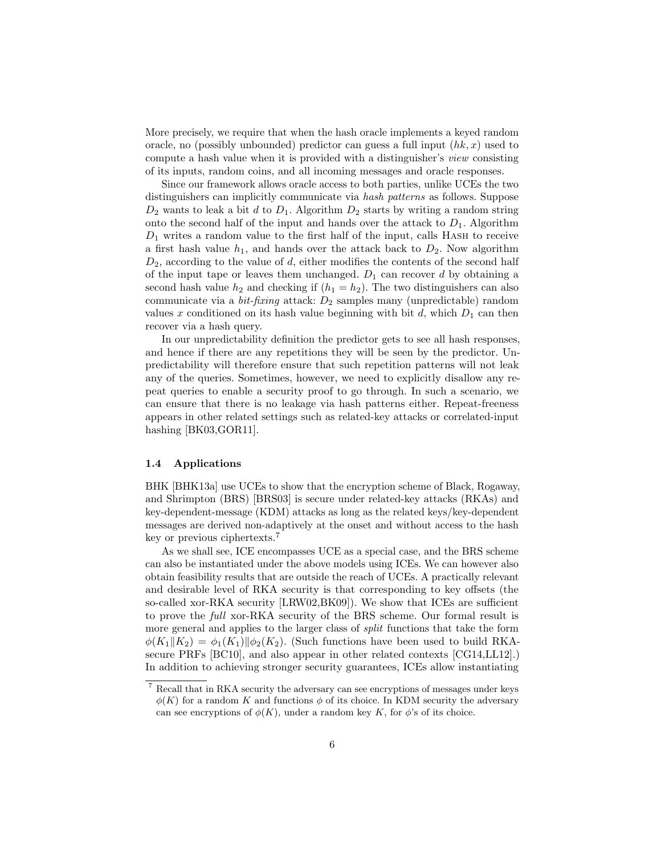More precisely, we require that when the hash oracle implements a keyed random oracle, no (possibly unbounded) predictor can guess a full input  $(hk, x)$  used to compute a hash value when it is provided with a distinguisher's view consisting of its inputs, random coins, and all incoming messages and oracle responses.

Since our framework allows oracle access to both parties, unlike UCEs the two distinguishers can implicitly communicate via hash patterns as follows. Suppose  $D_2$  wants to leak a bit d to  $D_1$ . Algorithm  $D_2$  starts by writing a random string onto the second half of the input and hands over the attack to  $D_1$ . Algorithm  $D_1$  writes a random value to the first half of the input, calls HASH to receive a first hash value  $h_1$ , and hands over the attack back to  $D_2$ . Now algorithm  $D_2$ , according to the value of d, either modifies the contents of the second half of the input tape or leaves them unchanged.  $D_1$  can recover d by obtaining a second hash value  $h_2$  and checking if  $(h_1 = h_2)$ . The two distinguishers can also communicate via a  $bit-fixing$  attack:  $D_2$  samples many (unpredictable) random values x conditioned on its hash value beginning with bit  $d$ , which  $D_1$  can then recover via a hash query.

In our unpredictability definition the predictor gets to see all hash responses, and hence if there are any repetitions they will be seen by the predictor. Unpredictability will therefore ensure that such repetition patterns will not leak any of the queries. Sometimes, however, we need to explicitly disallow any repeat queries to enable a security proof to go through. In such a scenario, we can ensure that there is no leakage via hash patterns either. Repeat-freeness appears in other related settings such as related-key attacks or correlated-input hashing [BK03, GOR11].

### 1.4 Applications

BHK [BHK13a] use UCEs to show that the encryption scheme of Black, Rogaway, and Shrimpton (BRS) [BRS03] is secure under related-key attacks (RKAs) and key-dependent-message (KDM) attacks as long as the related keys/key-dependent messages are derived non-adaptively at the onset and without access to the hash key or previous ciphertexts.<sup>7</sup>

As we shall see, ICE encompasses UCE as a special case, and the BRS scheme can also be instantiated under the above models using ICEs. We can however also obtain feasibility results that are outside the reach of UCEs. A practically relevant and desirable level of RKA security is that corresponding to key offsets (the so-called xor-RKA security [LRW02,BK09]). We show that ICEs are sufficient to prove the full xor-RKA security of the BRS scheme. Our formal result is more general and applies to the larger class of split functions that take the form  $\phi(K_1||K_2) = \phi_1(K_1)||\phi_2(K_2)$ . (Such functions have been used to build RKAsecure PRFs [BC10], and also appear in other related contexts [CG14,LL12].) In addition to achieving stronger security guarantees, ICEs allow instantiating

<sup>7</sup> Recall that in RKA security the adversary can see encryptions of messages under keys  $\phi(K)$  for a random K and functions  $\phi$  of its choice. In KDM security the adversary can see encryptions of  $\phi(K)$ , under a random key K, for  $\phi$ 's of its choice.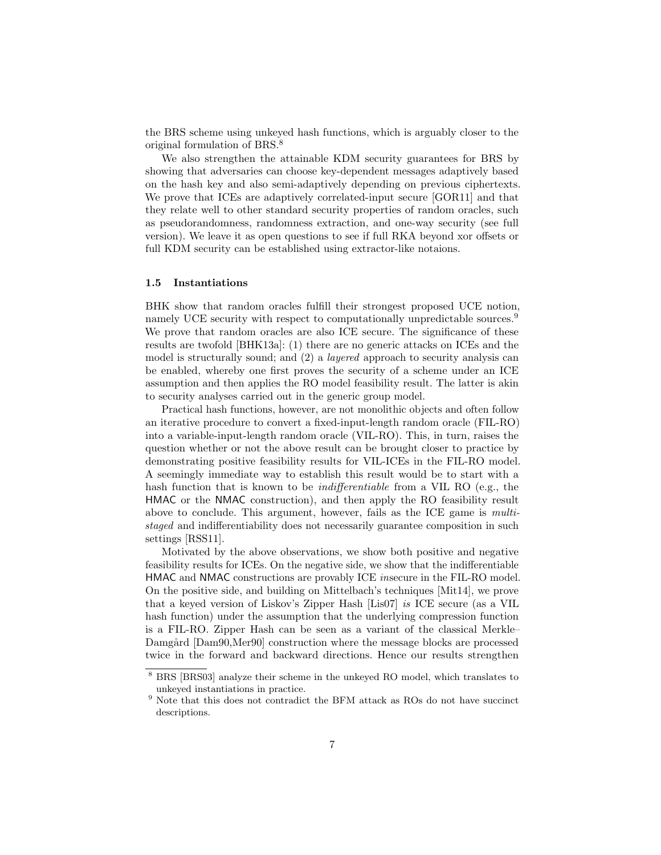the BRS scheme using unkeyed hash functions, which is arguably closer to the original formulation of BRS.<sup>8</sup>

We also strengthen the attainable KDM security guarantees for BRS by showing that adversaries can choose key-dependent messages adaptively based on the hash key and also semi-adaptively depending on previous ciphertexts. We prove that ICEs are adaptively correlated-input secure [GOR11] and that they relate well to other standard security properties of random oracles, such as pseudorandomness, randomness extraction, and one-way security (see full version). We leave it as open questions to see if full RKA beyond xor offsets or full KDM security can be established using extractor-like notaions.

### 1.5 Instantiations

BHK show that random oracles fulfill their strongest proposed UCE notion, namely UCE security with respect to computationally unpredictable sources.<sup>9</sup> We prove that random oracles are also ICE secure. The significance of these results are twofold [BHK13a]: (1) there are no generic attacks on ICEs and the model is structurally sound; and (2) a layered approach to security analysis can be enabled, whereby one first proves the security of a scheme under an ICE assumption and then applies the RO model feasibility result. The latter is akin to security analyses carried out in the generic group model.

Practical hash functions, however, are not monolithic objects and often follow an iterative procedure to convert a fixed-input-length random oracle (FIL-RO) into a variable-input-length random oracle (VIL-RO). This, in turn, raises the question whether or not the above result can be brought closer to practice by demonstrating positive feasibility results for VIL-ICEs in the FIL-RO model. A seemingly immediate way to establish this result would be to start with a hash function that is known to be *indifferentiable* from a VIL RO (e.g., the HMAC or the NMAC construction), and then apply the RO feasibility result above to conclude. This argument, however, fails as the ICE game is multistaged and indifferentiability does not necessarily guarantee composition in such settings [RSS11].

Motivated by the above observations, we show both positive and negative feasibility results for ICEs. On the negative side, we show that the indifferentiable HMAC and NMAC constructions are provably ICE insecure in the FIL-RO model. On the positive side, and building on Mittelbach's techniques [Mit14], we prove that a keyed version of Liskov's Zipper Hash [Lis07] is ICE secure (as a VIL hash function) under the assumption that the underlying compression function is a FIL-RO. Zipper Hash can be seen as a variant of the classical Merkle– Damgård [Dam90, Mer<sub>90</sub>] construction where the message blocks are processed twice in the forward and backward directions. Hence our results strengthen

<sup>8</sup> BRS [BRS03] analyze their scheme in the unkeyed RO model, which translates to unkeyed instantiations in practice.

 $^9$  Note that this does not contradict the BFM attack as ROs do not have succinct descriptions.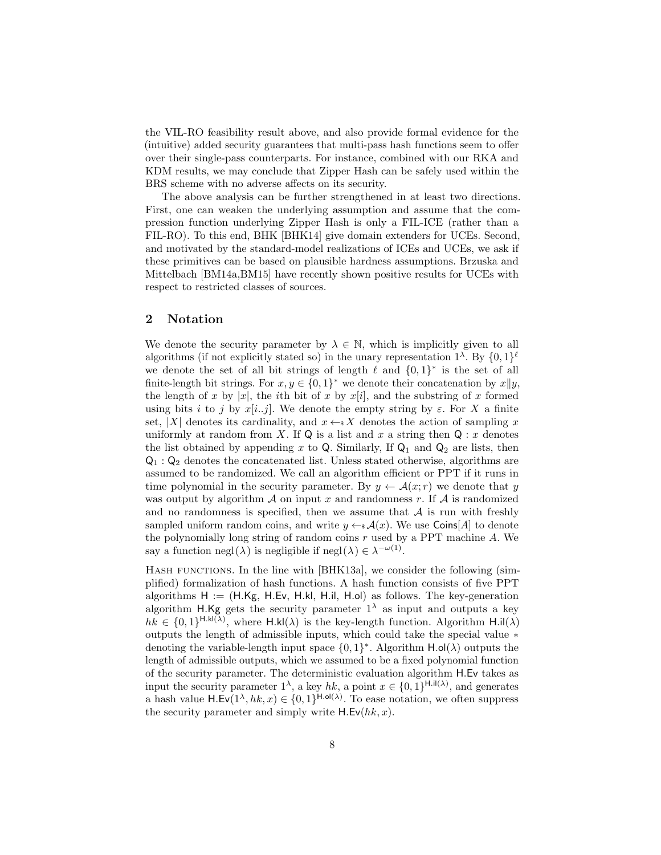the VIL-RO feasibility result above, and also provide formal evidence for the (intuitive) added security guarantees that multi-pass hash functions seem to offer over their single-pass counterparts. For instance, combined with our RKA and KDM results, we may conclude that Zipper Hash can be safely used within the BRS scheme with no adverse affects on its security.

The above analysis can be further strengthened in at least two directions. First, one can weaken the underlying assumption and assume that the compression function underlying Zipper Hash is only a FIL-ICE (rather than a FIL-RO). To this end, BHK [BHK14] give domain extenders for UCEs. Second, and motivated by the standard-model realizations of ICEs and UCEs, we ask if these primitives can be based on plausible hardness assumptions. Brzuska and Mittelbach [BM14a,BM15] have recently shown positive results for UCEs with respect to restricted classes of sources.

# 2 Notation

We denote the security parameter by  $\lambda \in \mathbb{N}$ , which is implicitly given to all algorithms (if not explicitly stated so) in the unary representation  $1^{\lambda}$ . By  $\{0, 1\}^{\ell}$ we denote the set of all bit strings of length  $\ell$  and  $\{0, 1\}^*$  is the set of all finite-length bit strings. For  $x, y \in \{0, 1\}^*$  we denote their concatenation by  $x||y$ , the length of x by |x|, the ith bit of x by  $x[i]$ , and the substring of x formed using bits i to j by  $x[i..j]$ . We denote the empty string by  $\varepsilon$ . For X a finite set, |X| denotes its cardinality, and  $x \leftarrow s X$  denotes the action of sampling x uniformly at random from X. If  $Q$  is a list and x a string then  $Q : x$  denotes the list obtained by appending x to Q. Similarly, If  $Q_1$  and  $Q_2$  are lists, then  $Q_1$ :  $Q_2$  denotes the concatenated list. Unless stated otherwise, algorithms are assumed to be randomized. We call an algorithm efficient or PPT if it runs in time polynomial in the security parameter. By  $y \leftarrow \mathcal{A}(x; r)$  we denote that y was output by algorithm  $A$  on input  $x$  and randomness  $r$ . If  $A$  is randomized and no randomness is specified, then we assume that  $A$  is run with freshly sampled uniform random coins, and write  $y \leftarrow \mathcal{A}(x)$ . We use Coins[A] to denote the polynomially long string of random coins  $r$  used by a PPT machine  $A$ . We say a function negl $(\lambda)$  is negligible if negl $(\lambda) \in \lambda^{-\omega(1)}$ .

HASH FUNCTIONS. In the line with [BHK13a], we consider the following (simplified) formalization of hash functions. A hash function consists of five PPT algorithms  $H := (H.Kg, H.Ev, H.kl, H.il, H.ol)$  as follows. The key-generation algorithm H.Kg gets the security parameter  $1^{\lambda}$  as input and outputs a key  $hk \in \{0,1\}^{\text{H.kl}(\lambda)}$ , where  $\text{H.kl}(\lambda)$  is the key-length function. Algorithm  $\text{H.li}(\lambda)$ outputs the length of admissible inputs, which could take the special value ∗ denoting the variable-length input space  $\{0,1\}^*$ . Algorithm H.ol( $\lambda$ ) outputs the length of admissible outputs, which we assumed to be a fixed polynomial function of the security parameter. The deterministic evaluation algorithm H.Ev takes as input the security parameter  $1^{\lambda}$ , a key hk, a point  $x \in \{0,1\}^{\text{H.i}(\lambda)}$ , and generates a hash value  $\mathsf{H}.\mathsf{Ev}(1^\lambda,hk,x) \in \{0,1\}^{\mathsf{H}.\mathsf{ol}(\lambda)}$ . To ease notation, we often suppress the security parameter and simply write  $H.Ev(hk, x)$ .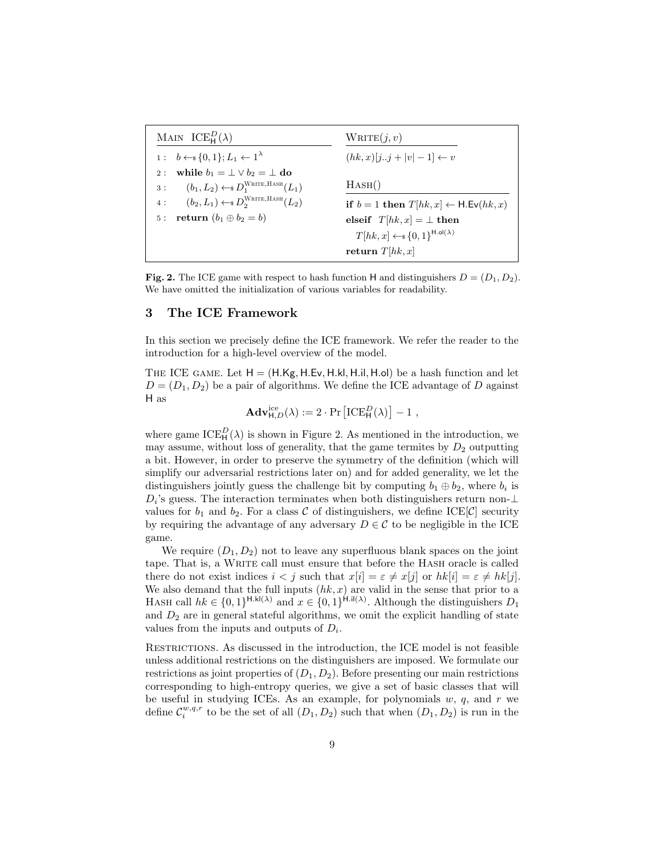| MAIN ICE <sub>H</sub> $(\lambda)$                                            | $\text{WRITE}(j, v)$                                  |
|------------------------------------------------------------------------------|-------------------------------------------------------|
| 1: $b \leftarrow s \{0,1\}; L_1 \leftarrow 1^{\lambda}$                      | $(hk, x)[jj +  v  - 1] \leftarrow v$                  |
| while $b_1 = \perp \vee b_2 = \perp$ do<br>2:                                |                                                       |
| $(b_1, L_2) \leftarrow \mathcal{D}_1^{\text{Whrte}, \text{HasH}}(L_1)$<br>3: | HASH()                                                |
| $(b_2, L_1) \leftarrow B_2^{\text{Wartre}, \text{HasH}}(L_2)$<br>4:          | if $b = 1$ then $T[hk, x] \leftarrow H.Ev(hk, x)$     |
| return $(b_1 \oplus b_2 = b)$<br>5:                                          | elseif $T[hk, x] = \perp$ then                        |
|                                                                              | $T[hk, x] \leftarrow \{0, 1\}^{\text{H.ol}(\lambda)}$ |
|                                                                              | return $T[hk, x]$                                     |

Fig. 2. The ICE game with respect to hash function H and distinguishers  $D = (D_1, D_2)$ . We have omitted the initialization of various variables for readability.

# 3 The ICE Framework

In this section we precisely define the ICE framework. We refer the reader to the introduction for a high-level overview of the model.

THE ICE GAME. Let  $H = (H.Kg, H.Ev, H.kl, H.il, H.ol)$  be a hash function and let  $D = (D_1, D_2)$  be a pair of algorithms. We define the ICE advantage of D against H as

$$
\mathbf{Adv}_{\mathsf{H},D}^{\text{ice}}(\lambda) := 2 \cdot \Pr\left[\mathrm{ICE}_{\mathsf{H}}^{D}(\lambda)\right] - 1,
$$

where game  $\mathrm{ICE}_{\mathsf{H}}^D(\lambda)$  is shown in Figure 2. As mentioned in the introduction, we may assume, without loss of generality, that the game termites by  $D_2$  outputting a bit. However, in order to preserve the symmetry of the definition (which will simplify our adversarial restrictions later on) and for added generality, we let the distinguishers jointly guess the challenge bit by computing  $b_1 \oplus b_2$ , where  $b_i$  is  $D_i$ 's guess. The interaction terminates when both distinguishers return non- $\perp$ values for  $b_1$  and  $b_2$ . For a class C of distinguishers, we define ICE[C] security by requiring the advantage of any adversary  $D \in \mathcal{C}$  to be negligible in the ICE game.

We require  $(D_1, D_2)$  not to leave any superfluous blank spaces on the joint tape. That is, a WRITE call must ensure that before the HASH oracle is called there do not exist indices  $i < j$  such that  $x[i] = \varepsilon \neq x[j]$  or  $hk[i] = \varepsilon \neq hk[j]$ . We also demand that the full inputs  $(hk, x)$  are valid in the sense that prior to a HASH call  $hk \in \{0,1\}^{\mathsf{H}.\mathsf{kl}(\lambda)}$  and  $x \in \{0,1\}^{\mathsf{H}.\mathsf{il}(\lambda)}$ . Although the distinguishers  $D_1$ and  $D_2$  are in general stateful algorithms, we omit the explicit handling of state values from the inputs and outputs of  $D_i$ .

RESTRICTIONS. As discussed in the introduction, the ICE model is not feasible unless additional restrictions on the distinguishers are imposed. We formulate our restrictions as joint properties of  $(D_1, D_2)$ . Before presenting our main restrictions corresponding to high-entropy queries, we give a set of basic classes that will be useful in studying ICEs. As an example, for polynomials  $w, q$ , and r we define  $\mathcal{C}_i^{w,q,r}$  to be the set of all  $(D_1, D_2)$  such that when  $(D_1, D_2)$  is run in the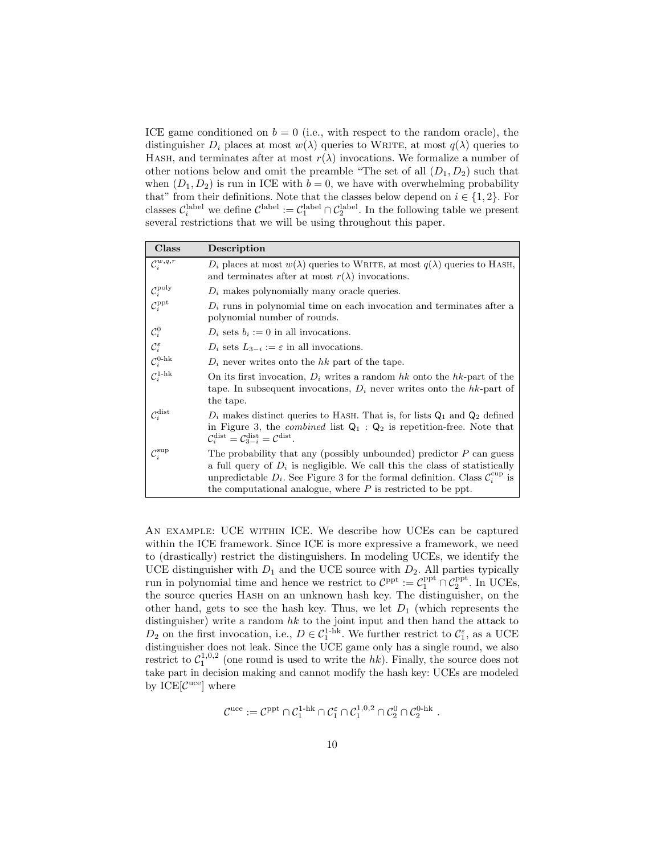ICE game conditioned on  $b = 0$  (i.e., with respect to the random oracle), the distinguisher  $D_i$  places at most  $w(\lambda)$  queries to WRITE, at most  $q(\lambda)$  queries to HASH, and terminates after at most  $r(\lambda)$  invocations. We formalize a number of other notions below and omit the preamble "The set of all  $(D_1, D_2)$  such that when  $(D_1, D_2)$  is run in ICE with  $b = 0$ , we have with overwhelming probability that" from their definitions. Note that the classes below depend on  $i \in \{1,2\}$ . For classes  $\mathcal{C}_i^{\text{label}}$  we define  $\mathcal{C}^{\text{label}} := \mathcal{C}_1^{\text{label}} \cap \mathcal{C}_2^{\text{label}}$ . In the following table we present several restrictions that we will be using throughout this paper.

| Class                         | Description                                                                                                                                                                                                                                                                                                                    |
|-------------------------------|--------------------------------------------------------------------------------------------------------------------------------------------------------------------------------------------------------------------------------------------------------------------------------------------------------------------------------|
| $\mathcal{C}_i^{w,q,r}$       | $D_i$ places at most $w(\lambda)$ queries to WRITE, at most $q(\lambda)$ queries to HASH,<br>and terminates after at most $r(\lambda)$ invocations.                                                                                                                                                                            |
| $\mathcal{C}_i^{\text{poly}}$ | $D_i$ makes polynomially many oracle queries.                                                                                                                                                                                                                                                                                  |
| $\mathcal{C}_i^{\text{ppt}}$  | $D_i$ runs in polynomial time on each invocation and terminates after a<br>polynomial number of rounds.                                                                                                                                                                                                                        |
| $\mathcal{C}_i^0$             | $D_i$ sets $b_i := 0$ in all invocations.                                                                                                                                                                                                                                                                                      |
| $\mathcal{C}_i^{\varepsilon}$ | $D_i$ sets $L_{3-i} := \varepsilon$ in all invocations.                                                                                                                                                                                                                                                                        |
| $\mathcal{C}_i^{0-hk}$        | $D_i$ never writes onto the hk part of the tape.                                                                                                                                                                                                                                                                               |
| $\mathcal{C}_i^{\text{1-hk}}$ | On its first invocation, $D_i$ writes a random hk onto the hk-part of the<br>tape. In subsequent invocations, $D_i$ never writes onto the hk-part of<br>the tape.                                                                                                                                                              |
| $\mathcal{C}^{\text{dist}}_i$ | $D_i$ makes distinct queries to HASH. That is, for lists $Q_1$ and $Q_2$ defined<br>in Figure 3, the <i>combined</i> list $Q_1$ : $Q_2$ is repetition-free. Note that<br>$\mathcal{C}_i^{\text{dist}} = \mathcal{C}_{3-i}^{\text{dist}} = \mathcal{C}^{\text{dist}}.$                                                          |
| $\mathcal{C}_i^{\text{sup}}$  | The probability that any (possibly unbounded) predictor $P$ can guess<br>a full query of $D_i$ is negligible. We call this the class of statistically<br>unpredictable $D_i$ . See Figure 3 for the formal definition. Class $\mathcal{C}_i^{\text{cup}}$ is<br>the computational analogue, where $P$ is restricted to be ppt. |

An example: UCE within ICE. We describe how UCEs can be captured within the ICE framework. Since ICE is more expressive a framework, we need to (drastically) restrict the distinguishers. In modeling UCEs, we identify the UCE distinguisher with  $D_1$  and the UCE source with  $D_2$ . All parties typically run in polynomial time and hence we restrict to  $C^{ppt} := C_1^{ppt} \cap C_2^{ppt}$ . In UCEs, the source queries Hash on an unknown hash key. The distinguisher, on the other hand, gets to see the hash key. Thus, we let  $D_1$  (which represents the distinguisher) write a random  $hk$  to the joint input and then hand the attack to  $D_2$  on the first invocation, i.e.,  $D \in C_1^{1-hk}$ . We further restrict to  $C_1^{\varepsilon}$ , as a UCE distinguisher does not leak. Since the UCE game only has a single round, we also restrict to  $C_1^{1,0,2}$  (one round is used to write the hk). Finally, the source does not take part in decision making and cannot modify the hash key: UCEs are modeled by  $ICE[\mathcal{C}^{\text{uce}}]$  where

$$
\mathcal{C}^{\mathrm{uce}}:=\mathcal{C}^{\mathrm{ppt}}\cap \mathcal{C}_1^{1\text{-hk}}\cap \mathcal{C}_1^{\varepsilon}\cap \mathcal{C}_1^{1,0,2}\cap \mathcal{C}_2^0\cap \mathcal{C}_2^{0\text{-hk}}
$$

.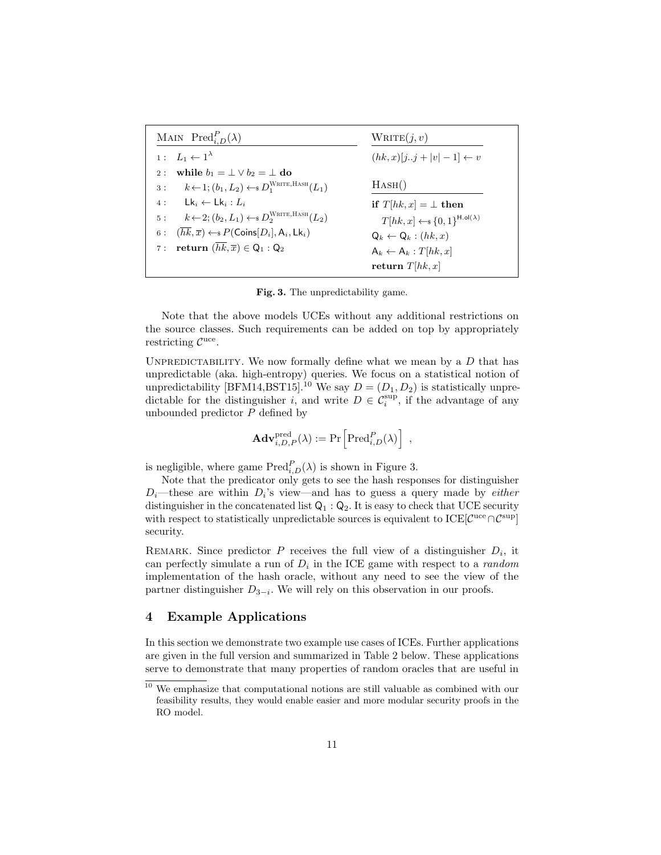| MAIN $\text{Pred}_{i,D}^P(\lambda)$                                                      | $\text{WRITE}(j, v)$                                  |
|------------------------------------------------------------------------------------------|-------------------------------------------------------|
| 1: $L_1 \leftarrow 1^{\lambda}$                                                          | $(hk, x)[i \cdot i +  v  - 1] \leftarrow v$           |
| while $b_1 = \perp \vee b_2 = \perp$ do<br>2:                                            |                                                       |
| $k \leftarrow 1$ ; $(b_1, L_2) \leftarrow s D_1^{\text{WartE, HASH}}(L_1)$<br>3:         | HASH()                                                |
| 4: $L_{i} \leftarrow L_{k} \cdot L_{i}$                                                  | if $T[hk, x] = \perp$ then                            |
| $k \leftarrow 2$ ; $(b_2, L_1) \leftarrow s D_2^{\text{WRITE}, \text{HASH}} (L_2)$<br>5: | $T[hk, x] \leftarrow \{0, 1\}^{\text{H.ol}(\lambda)}$ |
| 6: $(hk, \overline{x}) \leftarrow s P(\text{Coins}[D_i], A_i, Lk_i)$                     | $Q_k \leftarrow Q_k : (hk, x)$                        |
| 7: return $(\overline{hk}, \overline{x}) \in Q_1 : Q_2$                                  | $A_k \leftarrow A_k : T[hk, x]$                       |
|                                                                                          | return $T[hk, x]$                                     |

Fig. 3. The unpredictability game.

Note that the above models UCEs without any additional restrictions on the source classes. Such requirements can be added on top by appropriately restricting  $\mathcal{C}^{\text{uce}}$ .

UNPREDICTABILITY. We now formally define what we mean by a  $D$  that has unpredictable (aka. high-entropy) queries. We focus on a statistical notion of unpredictability [BFM14,BST15].<sup>10</sup> We say  $D = (D_1, D_2)$  is statistically unpredictable for the distinguisher *i*, and write  $D \in C_i^{\text{sup}}$ , if the advantage of any unbounded predictor  $P$  defined by

$$
\mathbf{Adv}_{i,D,P}^{\mathrm{pred}}(\lambda) := \Pr\left[\mathrm{Pred}_{i,D}^{P}(\lambda)\right],
$$

is negligible, where game  $\text{Pred}_{i,D}^P(\lambda)$  is shown in Figure 3.

Note that the predicator only gets to see the hash responses for distinguisher  $D_i$ —these are within  $D_i$ 's view—and has to guess a query made by *either* distinguisher in the concatenated list  $Q_1 : Q_2$ . It is easy to check that UCE security with respect to statistically unpredictable sources is equivalent to  $\text{ICE}[\mathcal{C}^{\text{uce}} \cap \mathcal{C}^{\text{sup}}]$ security.

REMARK. Since predictor P receives the full view of a distinguisher  $D_i$ , it can perfectly simulate a run of  $D_i$  in the ICE game with respect to a *random* implementation of the hash oracle, without any need to see the view of the partner distinguisher  $D_{3-i}$ . We will rely on this observation in our proofs.

# 4 Example Applications

In this section we demonstrate two example use cases of ICEs. Further applications are given in the full version and summarized in Table 2 below. These applications serve to demonstrate that many properties of random oracles that are useful in

 $10$  We emphasize that computational notions are still valuable as combined with our feasibility results, they would enable easier and more modular security proofs in the RO model.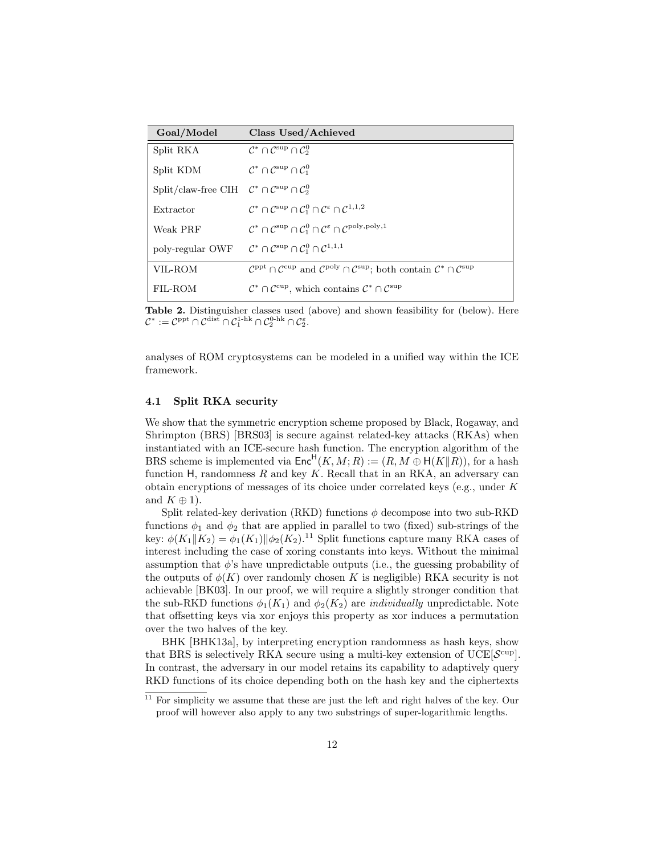| Goal/Model                                                                             | Class Used/Achieved                                                                                                                                                                 |
|----------------------------------------------------------------------------------------|-------------------------------------------------------------------------------------------------------------------------------------------------------------------------------------|
| Split RKA                                                                              | $\mathcal{C}^* \cap \mathcal{C}^{\text{sup}} \cap \mathcal{C}^0_2$                                                                                                                  |
| Split KDM                                                                              | $\mathcal{C}^* \cap \mathcal{C}^{\text{sup}} \cap \mathcal{C}^0_1$                                                                                                                  |
| Split/claw-free CIH $\mathcal{C}^* \cap \mathcal{C}^{\text{sup}} \cap \mathcal{C}_2^0$ |                                                                                                                                                                                     |
| Extractor                                                                              | $\mathcal{C}^* \cap \mathcal{C}^{\text{sup}} \cap \mathcal{C}_1^0 \cap \mathcal{C}^{\varepsilon} \cap \mathcal{C}^{1,1,2}$                                                          |
| Weak PRF                                                                               | $\mathcal{C}^* \cap \mathcal{C}^{\text{sup}} \cap \mathcal{C}_1^0 \cap \mathcal{C}^{\varepsilon} \cap \mathcal{C}^{\text{poly,poly},1}$                                             |
| poly-regular OWF                                                                       | $\mathcal{C}^* \cap \mathcal{C}^{\text{sup}} \cap \mathcal{C}^0_1 \cap \mathcal{C}^{1,1,1}$                                                                                         |
| VIL-ROM                                                                                | $\mathcal{C}^{\text{ppt}} \cap \mathcal{C}^{\text{cup}}$ and $\mathcal{C}^{\text{poly}} \cap \mathcal{C}^{\text{sup}}$ ; both contain $\mathcal{C}^* \cap \mathcal{C}^{\text{sup}}$ |
| FIL-ROM                                                                                | $\mathcal{C}^* \cap \mathcal{C}^{\text{cup}}$ , which contains $\mathcal{C}^* \cap \mathcal{C}^{\text{sup}}$                                                                        |

Table 2. Distinguisher classes used (above) and shown feasibility for (below). Here  $\mathcal{C}^*:=\mathcal{C}^{\mathrm{ppt}}\cap \mathcal{C}^{\mathrm{dist}}_1\cap \mathcal{C}^{\mathrm{1-hk}}_1\cap \mathcal{C}^{\mathrm{0-hk}}_2\cap \mathcal{C}^{\varepsilon}_2.$ 

analyses of ROM cryptosystems can be modeled in a unified way within the ICE framework.

### 4.1 Split RKA security

We show that the symmetric encryption scheme proposed by Black, Rogaway, and Shrimpton (BRS) [BRS03] is secure against related-key attacks (RKAs) when instantiated with an ICE-secure hash function. The encryption algorithm of the BRS scheme is implemented via  $\mathsf{Enc}^{\mathsf{H}}(K, M; R) := (R, M \oplus \mathsf{H}(K \| R)),$  for a hash function  $H$ , randomness  $R$  and key  $K$ . Recall that in an RKA, an adversary can obtain encryptions of messages of its choice under correlated keys (e.g., under K and  $K \oplus 1$ .

Split related-key derivation (RKD) functions  $\phi$  decompose into two sub-RKD functions  $\phi_1$  and  $\phi_2$  that are applied in parallel to two (fixed) sub-strings of the key:  $\phi(K_1||K_2) = \phi_1(K_1)||\phi_2(K_2)$ .<sup>11</sup> Split functions capture many RKA cases of interest including the case of xoring constants into keys. Without the minimal assumption that  $\phi$ 's have unpredictable outputs (i.e., the guessing probability of the outputs of  $\phi(K)$  over randomly chosen K is negligible) RKA security is not achievable [BK03]. In our proof, we will require a slightly stronger condition that the sub-RKD functions  $\phi_1(K_1)$  and  $\phi_2(K_2)$  are *individually* unpredictable. Note that offsetting keys via xor enjoys this property as xor induces a permutation over the two halves of the key.

BHK [BHK13a], by interpreting encryption randomness as hash keys, show that BRS is selectively RKA secure using a multi-key extension of  $\text{UCE}[\mathcal{S}^{\text{cup}}]$ . In contrast, the adversary in our model retains its capability to adaptively query RKD functions of its choice depending both on the hash key and the ciphertexts

 $11$  For simplicity we assume that these are just the left and right halves of the key. Our proof will however also apply to any two substrings of super-logarithmic lengths.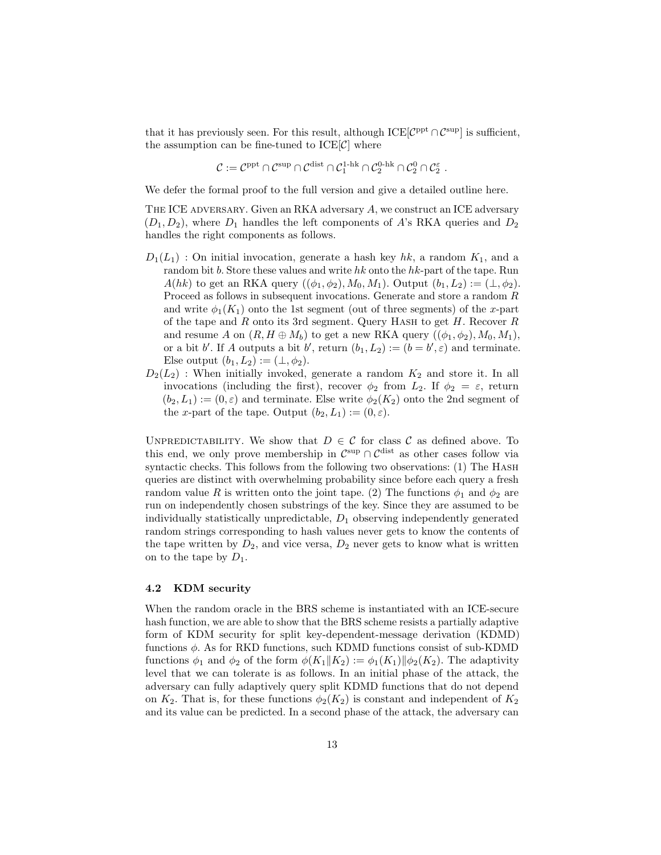that it has previously seen. For this result, although  $\text{ICE}[\mathcal{C}^{\text{ppt}} \cap \mathcal{C}^{\text{sup}}]$  is sufficient, the assumption can be fine-tuned to  $\text{ICE}[\mathcal{C}]$  where

$$
\mathcal{C} := \mathcal{C}^{\mathrm{ppt}} \cap \mathcal{C}^{\mathrm{sup}} \cap \mathcal{C}^{\mathrm{dist}} \cap \mathcal{C}^{1-\mathrm{hk}}_1 \cap \mathcal{C}^{0-\mathrm{hk}}_2 \cap \mathcal{C}^0_2 \cap \mathcal{C}^{\varepsilon}_2 \ .
$$

We defer the formal proof to the full version and give a detailed outline here.

The ICE adversary. Given an RKA adversary A, we construct an ICE adversary  $(D_1, D_2)$ , where  $D_1$  handles the left components of A's RKA queries and  $D_2$ handles the right components as follows.

- $D_1(L_1)$ : On initial invocation, generate a hash key hk, a random  $K_1$ , and a random bit b. Store these values and write hk onto the hk-part of the tape. Run A(hk) to get an RKA query  $((\phi_1, \phi_2), M_0, M_1)$ . Output  $(b_1, L_2) := (\perp, \phi_2)$ . Proceed as follows in subsequent invocations. Generate and store a random R and write  $\phi_1(K_1)$  onto the 1st segment (out of three segments) of the x-part of the tape and R onto its 3rd segment. Query HASH to get  $H$ . Recover R and resume A on  $(R, H \oplus M_b)$  to get a new RKA query  $((\phi_1, \phi_2), M_0, M_1)$ , or a bit b'. If A outputs a bit b', return  $(b_1, L_2) := (b = b', \varepsilon)$  and terminate. Else output  $(b_1, L_2) := (\perp, \phi_2)$ .
- $D_2(L_2)$ : When initially invoked, generate a random  $K_2$  and store it. In all invocations (including the first), recover  $\phi_2$  from  $L_2$ . If  $\phi_2 = \varepsilon$ , return  $(b_2, L_1) := (0, \varepsilon)$  and terminate. Else write  $\phi_2(K_2)$  onto the 2nd segment of the x-part of the tape. Output  $(b_2, L_1) := (0, \varepsilon)$ .

UNPREDICTABILITY. We show that  $D \in \mathcal{C}$  for class  $\mathcal{C}$  as defined above. To this end, we only prove membership in  $\mathcal{C}^{\text{sup}} \cap \mathcal{C}^{\text{dist}}$  as other cases follow via syntactic checks. This follows from the following two observations: (1) The Hash queries are distinct with overwhelming probability since before each query a fresh random value R is written onto the joint tape. (2) The functions  $\phi_1$  and  $\phi_2$  are run on independently chosen substrings of the key. Since they are assumed to be individually statistically unpredictable,  $D_1$  observing independently generated random strings corresponding to hash values never gets to know the contents of the tape written by  $D_2$ , and vice versa,  $D_2$  never gets to know what is written on to the tape by  $D_1$ .

### 4.2 KDM security

When the random oracle in the BRS scheme is instantiated with an ICE-secure hash function, we are able to show that the BRS scheme resists a partially adaptive form of KDM security for split key-dependent-message derivation (KDMD) functions  $\phi$ . As for RKD functions, such KDMD functions consist of sub-KDMD functions  $\phi_1$  and  $\phi_2$  of the form  $\phi(K_1||K_2) := \phi_1(K_1)||\phi_2(K_2)$ . The adaptivity level that we can tolerate is as follows. In an initial phase of the attack, the adversary can fully adaptively query split KDMD functions that do not depend on  $K_2$ . That is, for these functions  $\phi_2(K_2)$  is constant and independent of  $K_2$ and its value can be predicted. In a second phase of the attack, the adversary can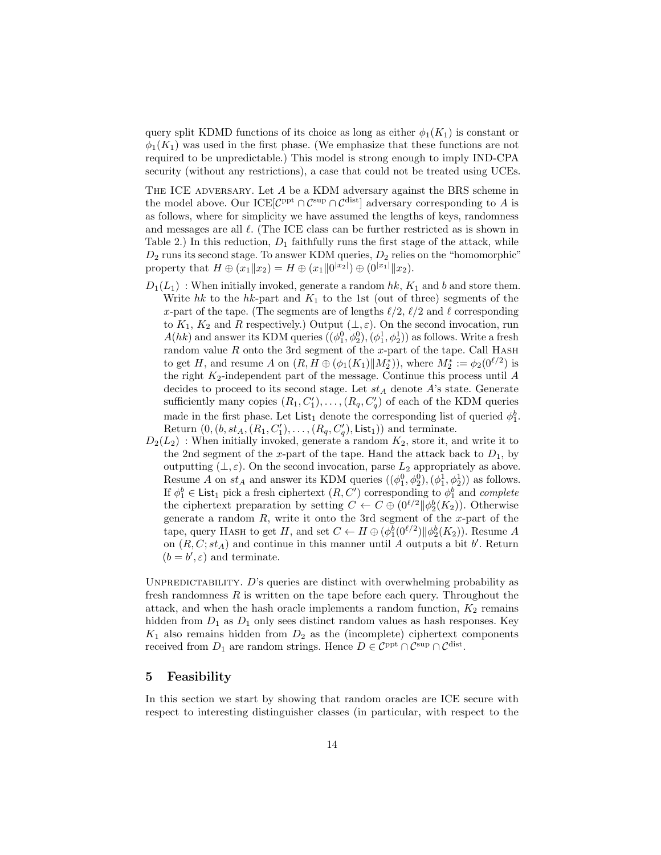query split KDMD functions of its choice as long as either  $\phi_1(K_1)$  is constant or  $\phi_1(K_1)$  was used in the first phase. (We emphasize that these functions are not required to be unpredictable.) This model is strong enough to imply IND-CPA security (without any restrictions), a case that could not be treated using UCEs.

THE ICE ADVERSARY. Let  $A$  be a KDM adversary against the BRS scheme in the model above. Our  $ICE[\mathcal{C}^{\text{ppt}} \cap \mathcal{C}^{\text{sup}} \cap \mathcal{C}^{\text{dist}}]$  adversary corresponding to A is as follows, where for simplicity we have assumed the lengths of keys, randomness and messages are all  $\ell$ . (The ICE class can be further restricted as is shown in Table 2.) In this reduction,  $D_1$  faithfully runs the first stage of the attack, while  $D_2$  runs its second stage. To answer KDM queries,  $D_2$  relies on the "homomorphic" property that  $H \oplus (x_1 || x_2) = H \oplus (x_1 || 0^{|x_2|}) \oplus (0^{|x_1|} || x_2)$ .

- $D_1(L_1)$ : When initially invoked, generate a random  $hk$ ,  $K_1$  and b and store them. Write hk to the hk-part and  $K_1$  to the 1st (out of three) segments of the x-part of the tape. (The segments are of lengths  $\ell/2$ ,  $\ell/2$  and  $\ell$  corresponding to  $K_1$ ,  $K_2$  and R respectively.) Output  $(\perp, \varepsilon)$ . On the second invocation, run  $A(hk)$  and answer its KDM queries  $((\phi_1^0, \phi_2^0), (\phi_1^1, \phi_2^1))$  as follows. Write a fresh random value  $R$  onto the 3rd segment of the x-part of the tape. Call HASH to get H, and resume A on  $(R, H \oplus (\phi_1(K_1) || M_2^*))$ , where  $M_2^* := \phi_2(0^{\ell/2})$  is the right  $K_2$ -independent part of the message. Continue this process until  $A$ decides to proceed to its second stage. Let  $st_A$  denote A's state. Generate sufficiently many copies  $(R_1, C'_1), \ldots, (R_q, C'_q)$  of each of the KDM queries made in the first phase. Let  $List_1$  denote the corresponding list of queried  $\phi_1^b$ . Return  $(0, (b, st_A, (R_1, C'_1), \ldots, (R_q, C'_q), \mathsf{List}_1))$  and terminate.
- $D_2(L_2)$ : When initially invoked, generate a random  $K_2$ , store it, and write it to the 2nd segment of the x-part of the tape. Hand the attack back to  $D_1$ , by outputting  $(\perp, \varepsilon)$ . On the second invocation, parse  $L_2$  appropriately as above. Resume A on  $st_A$  and answer its KDM queries  $((\phi_1^0, \phi_2^0), (\phi_1^1, \phi_2^1))$  as follows. If  $\phi_1^b \in \text{List}_1$  pick a fresh ciphertext  $(R, C')$  corresponding to  $\phi_1^b$  and *complete* the ciphertext preparation by setting  $C \leftarrow C \oplus (0^{\ell/2} || \phi_2^b(K_2))$ . Otherwise generate a random  $R$ , write it onto the 3rd segment of the  $x$ -part of the tape, query HASH to get H, and set  $C \leftarrow H \oplus (\phi_1^b(0^{\ell/2}) || \phi_2^b(K_2))$ . Resume A on  $(R, C; st<sub>A</sub>)$  and continue in this manner until A outputs a bit b'. Return  $(b = b', \varepsilon)$  and terminate.

UNPREDICTABILITY.  $D$ 's queries are distinct with overwhelming probability as fresh randomness  $R$  is written on the tape before each query. Throughout the attack, and when the hash oracle implements a random function,  $K_2$  remains hidden from  $D_1$  as  $D_1$  only sees distinct random values as hash responses. Key  $K_1$  also remains hidden from  $D_2$  as the (incomplete) ciphertext components received from  $D_1$  are random strings. Hence  $D \in C^{\text{ppt}} \cap C^{\text{sup}} \cap C^{\text{dist}}$ .

# 5 Feasibility

In this section we start by showing that random oracles are ICE secure with respect to interesting distinguisher classes (in particular, with respect to the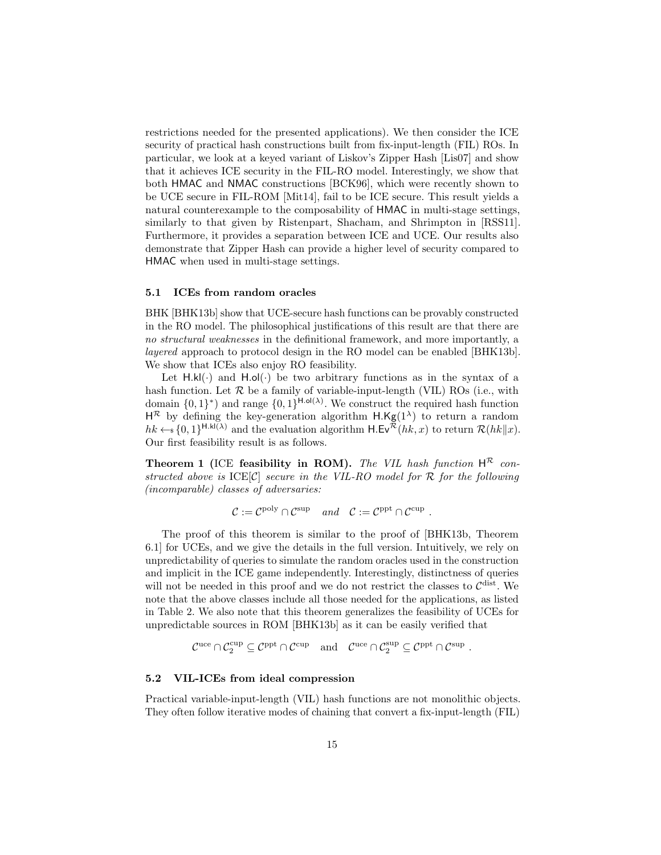restrictions needed for the presented applications). We then consider the ICE security of practical hash constructions built from fix-input-length (FIL) ROs. In particular, we look at a keyed variant of Liskov's Zipper Hash [Lis07] and show that it achieves ICE security in the FIL-RO model. Interestingly, we show that both HMAC and NMAC constructions [BCK96], which were recently shown to be UCE secure in FIL-ROM [Mit14], fail to be ICE secure. This result yields a natural counterexample to the composability of HMAC in multi-stage settings, similarly to that given by Ristenpart, Shacham, and Shrimpton in [RSS11]. Furthermore, it provides a separation between ICE and UCE. Our results also demonstrate that Zipper Hash can provide a higher level of security compared to HMAC when used in multi-stage settings.

#### 5.1 ICEs from random oracles

BHK [BHK13b] show that UCE-secure hash functions can be provably constructed in the RO model. The philosophical justifications of this result are that there are no structural weaknesses in the definitional framework, and more importantly, a layered approach to protocol design in the RO model can be enabled [BHK13b]. We show that ICEs also enjoy RO feasibility.

Let  $H.kI(\cdot)$  and  $H.oI(\cdot)$  be two arbitrary functions as in the syntax of a hash function. Let  $\mathcal R$  be a family of variable-input-length (VIL) ROs (i.e., with domain  $\{0,1\}^*$  and range  $\{0,1\}^{\text{H.oI}(\lambda)}$ . We construct the required hash function  $H^{\mathcal{R}}$  by defining the key-generation algorithm H.Kg(1<sup> $\lambda$ </sup>) to return a random  $hk \leftarrow s\{0,1\}^{\text{H.kl}(\lambda)}$  and the evaluation algorithm  $\text{H.Ev}^{\mathcal{R}}(hk,x)$  to return  $\mathcal{R}(hk||x)$ . Our first feasibility result is as follows.

Theorem 1 (ICE feasibility in ROM). The VIL hash function  $H^R$  constructed above is  $ICE[ $C$ ] secure in the VIL-RO model for  $R$  for the following$ (incomparable) classes of adversaries:

$$
\mathcal{C} := \mathcal{C}^{\text{poly}} \cap \mathcal{C}^{\text{sup}} \quad \text{and} \quad \mathcal{C} := \mathcal{C}^{\text{ppt}} \cap \mathcal{C}^{\text{cup}}.
$$

The proof of this theorem is similar to the proof of [BHK13b, Theorem 6.1] for UCEs, and we give the details in the full version. Intuitively, we rely on unpredictability of queries to simulate the random oracles used in the construction and implicit in the ICE game independently. Interestingly, distinctness of queries will not be needed in this proof and we do not restrict the classes to  $\mathcal{C}^{\text{dist}}$ . We note that the above classes include all those needed for the applications, as listed in Table 2. We also note that this theorem generalizes the feasibility of UCEs for unpredictable sources in ROM [BHK13b] as it can be easily verified that

$$
\mathcal{C}^{\text{uce}} \cap \mathcal{C}_2^{\text{cup}} \subseteq \mathcal{C}^{\text{ppt}} \cap \mathcal{C}^{\text{cup}} \quad \text{and} \quad \mathcal{C}^{\text{uce}} \cap \mathcal{C}_2^{\text{sup}} \subseteq \mathcal{C}^{\text{ppt}} \cap \mathcal{C}^{\text{sup}}
$$

.

### 5.2 VIL-ICEs from ideal compression

Practical variable-input-length (VIL) hash functions are not monolithic objects. They often follow iterative modes of chaining that convert a fix-input-length (FIL)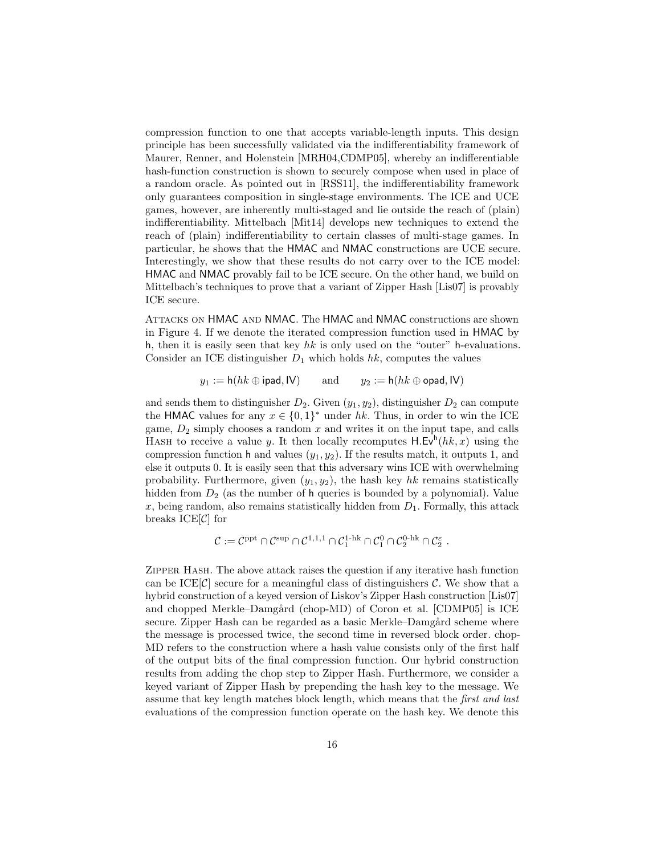compression function to one that accepts variable-length inputs. This design principle has been successfully validated via the indifferentiability framework of Maurer, Renner, and Holenstein [MRH04,CDMP05], whereby an indifferentiable hash-function construction is shown to securely compose when used in place of a random oracle. As pointed out in [RSS11], the indifferentiability framework only guarantees composition in single-stage environments. The ICE and UCE games, however, are inherently multi-staged and lie outside the reach of (plain) indifferentiability. Mittelbach [Mit14] develops new techniques to extend the reach of (plain) indifferentiability to certain classes of multi-stage games. In particular, he shows that the HMAC and NMAC constructions are UCE secure. Interestingly, we show that these results do not carry over to the ICE model: HMAC and NMAC provably fail to be ICE secure. On the other hand, we build on Mittelbach's techniques to prove that a variant of Zipper Hash [Lis07] is provably ICE secure.

Attacks on HMAC and NMAC. The HMAC and NMAC constructions are shown in Figure 4. If we denote the iterated compression function used in HMAC by h, then it is easily seen that key  $hk$  is only used on the "outer" h-evaluations. Consider an ICE distinguisher  $D_1$  which holds  $hk$ , computes the values

$$
y_1 := h(hk \oplus \text{ipad}, \text{IV})
$$
 and  $y_2 := h(hk \oplus \text{opad}, \text{IV})$ 

and sends them to distinguisher  $D_2$ . Given  $(y_1, y_2)$ , distinguisher  $D_2$  can compute the HMAC values for any  $x \in \{0,1\}^*$  under hk. Thus, in order to win the ICE game,  $D_2$  simply chooses a random x and writes it on the input tape, and calls HASH to receive a value y. It then locally recomputes  $H.Ev<sup>h</sup>(hk, x)$  using the compression function h and values  $(y_1, y_2)$ . If the results match, it outputs 1, and else it outputs 0. It is easily seen that this adversary wins ICE with overwhelming probability. Furthermore, given  $(y_1, y_2)$ , the hash key hk remains statistically hidden from  $D_2$  (as the number of h queries is bounded by a polynomial). Value x, being random, also remains statistically hidden from  $D_1$ . Formally, this attack breaks  $ICE[\mathcal{C}]$  for

$$
\mathcal{C} := \mathcal{C}^{\mathrm{ppt}} \cap \mathcal{C}^{\mathrm{sup}} \cap \mathcal{C}^{1,1,1} \cap \mathcal{C}^{1-\mathrm{hk}}_1 \cap \mathcal{C}^0_1 \cap \mathcal{C}^{0-\mathrm{hk}}_2 \cap \mathcal{C}^{\varepsilon}_2.
$$

Zipper Hash. The above attack raises the question if any iterative hash function can be  $\text{ICE}[\mathcal{C}]$  secure for a meaningful class of distinguishers  $\mathcal{C}$ . We show that a hybrid construction of a keyed version of Liskov's Zipper Hash construction [Lis07] and chopped Merkle–Damgård (chop-MD) of Coron et al. [CDMP05] is ICE secure. Zipper Hash can be regarded as a basic Merkle–Damgård scheme where the message is processed twice, the second time in reversed block order. chop-MD refers to the construction where a hash value consists only of the first half of the output bits of the final compression function. Our hybrid construction results from adding the chop step to Zipper Hash. Furthermore, we consider a keyed variant of Zipper Hash by prepending the hash key to the message. We assume that key length matches block length, which means that the first and last evaluations of the compression function operate on the hash key. We denote this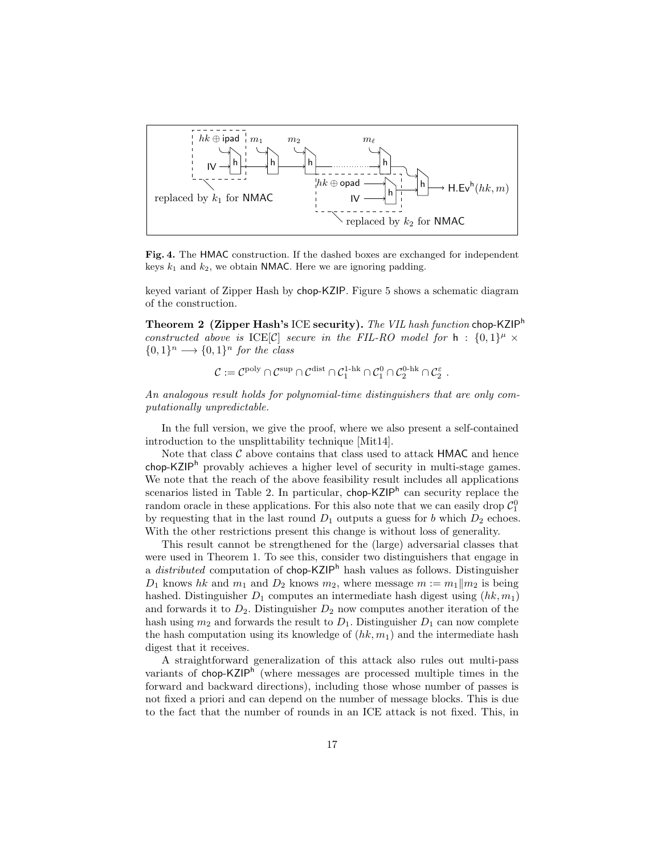

Fig. 4. The HMAC construction. If the dashed boxes are exchanged for independent keys  $k_1$  and  $k_2$ , we obtain NMAC. Here we are ignoring padding.

keyed variant of Zipper Hash by chop-KZIP. Figure 5 shows a schematic diagram of the construction.

**Theorem 2 (Zipper Hash's ICE security).** The VIL hash function chop-KZIP<sup>h</sup> constructed above is  $ICE[{\mathcal{C}}]$  secure in the FIL-RO model for  $h : \{0,1\}^{\mu} \times$  ${0,1}<sup>n</sup> \longrightarrow {0,1}<sup>n</sup>$  for the class

$$
\mathcal{C} := \mathcal{C}^{\text{poly}} \cap \mathcal{C}^{\text{sup}} \cap \mathcal{C}^{\text{dist}} \cap \mathcal{C}_1^{1-\text{hk}} \cap \mathcal{C}_1^0 \cap \mathcal{C}_2^{\text{0-hk}} \cap \mathcal{C}_2^{\varepsilon}.
$$

An analogous result holds for polynomial-time distinguishers that are only computationally unpredictable.

In the full version, we give the proof, where we also present a self-contained introduction to the unsplittability technique [Mit14].

Note that class  $C$  above contains that class used to attack HMAC and hence chop-KZIP<sup>h</sup> provably achieves a higher level of security in multi-stage games. We note that the reach of the above feasibility result includes all applications scenarios listed in Table 2. In particular, chop-KZIP<sup>h</sup> can security replace the random oracle in these applications. For this also note that we can easily drop  $\mathcal{C}_1^0$ by requesting that in the last round  $D_1$  outputs a guess for b which  $D_2$  echoes. With the other restrictions present this change is without loss of generality.

This result cannot be strengthened for the (large) adversarial classes that were used in Theorem 1. To see this, consider two distinguishers that engage in a *distributed* computation of chop-KZIP<sup>h</sup> hash values as follows. Distinguisher  $D_1$  knows hk and  $m_1$  and  $D_2$  knows  $m_2$ , where message  $m := m_1||m_2$  is being hashed. Distinguisher  $D_1$  computes an intermediate hash digest using  $(hk, m_1)$ and forwards it to  $D_2$ . Distinguisher  $D_2$  now computes another iteration of the hash using  $m_2$  and forwards the result to  $D_1$ . Distinguisher  $D_1$  can now complete the hash computation using its knowledge of  $(hk, m_1)$  and the intermediate hash digest that it receives.

A straightforward generalization of this attack also rules out multi-pass variants of chop-KZIP<sup>h</sup> (where messages are processed multiple times in the forward and backward directions), including those whose number of passes is not fixed a priori and can depend on the number of message blocks. This is due to the fact that the number of rounds in an ICE attack is not fixed. This, in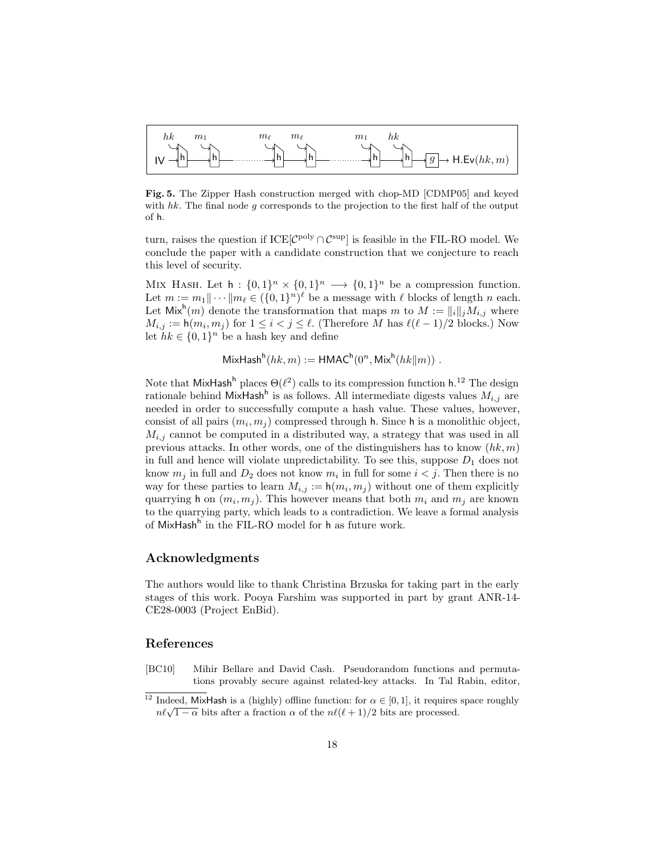

Fig. 5. The Zipper Hash construction merged with chop-MD [CDMP05] and keyed with hk. The final node g corresponds to the projection to the first half of the output of h.

turn, raises the question if  $ICE[\mathcal{C}^{\text{poly}} \cap \mathcal{C}^{\text{sup}}]$  is feasible in the FIL-RO model. We conclude the paper with a candidate construction that we conjecture to reach this level of security.

MIX HASH. Let  $h: \{0,1\}^n \times \{0,1\}^n \longrightarrow \{0,1\}^n$  be a compression function. Let  $m := m_1 || \cdots || m_\ell \in (\{0, 1\}^n)^\ell$  be a message with  $\ell$  blocks of length n each. Let  $\text{Mix}^{\text{h}}(m)$  denote the transformation that maps m to  $M := ||i||_j M_{i,j}$  where  $M_{i,j} := \mathsf{h}(m_i, m_j)$  for  $1 \leq i < j \leq \ell$ . (Therefore M has  $\ell(\ell-1)/2$  blocks.) Now let  $hk \in \{0,1\}^n$  be a hash key and define

 $\mathsf{MixHash}^{\mathsf{h}}(hk,m) := \mathsf{HMAC}^{\mathsf{h}}(0^n, \mathsf{Mix}^{\mathsf{h}}(hk \| m))$ .

Note that MixHash<sup>h</sup> places  $\Theta(\ell^2)$  calls to its compression function h.<sup>12</sup> The design rationale behind MixHash<sup>h</sup> is as follows. All intermediate digests values  $M_{i,j}$  are needed in order to successfully compute a hash value. These values, however, consist of all pairs  $(m_i, m_j)$  compressed through h. Since h is a monolithic object,  $M_{i,j}$  cannot be computed in a distributed way, a strategy that was used in all previous attacks. In other words, one of the distinguishers has to know  $(hk, m)$ in full and hence will violate unpredictability. To see this, suppose  $D_1$  does not know  $m_j$  in full and  $D_2$  does not know  $m_i$  in full for some  $i < j$ . Then there is no way for these parties to learn  $M_{i,j} := \mathsf{h}(m_i, m_j)$  without one of them explicitly quarrying h on  $(m_i, m_j)$ . This however means that both  $m_i$  and  $m_j$  are known to the quarrying party, which leads to a contradiction. We leave a formal analysis of MixHash<sup>h</sup> in the FIL-RO model for h as future work.

# Acknowledgments

The authors would like to thank Christina Brzuska for taking part in the early stages of this work. Pooya Farshim was supported in part by grant ANR-14- CE28-0003 (Project EnBid).

# References

[BC10] Mihir Bellare and David Cash. Pseudorandom functions and permutations provably secure against related-key attacks. In Tal Rabin, editor,

<sup>&</sup>lt;sup>12</sup> Indeed, MixHash is a (highly) offline function: for  $\alpha \in [0,1]$ , it requires space roughly matrice in  $n\ell\sqrt{1-\alpha}$  bits after a fraction  $\alpha$  of the  $n\ell(\ell + 1)/2$  bits are processed.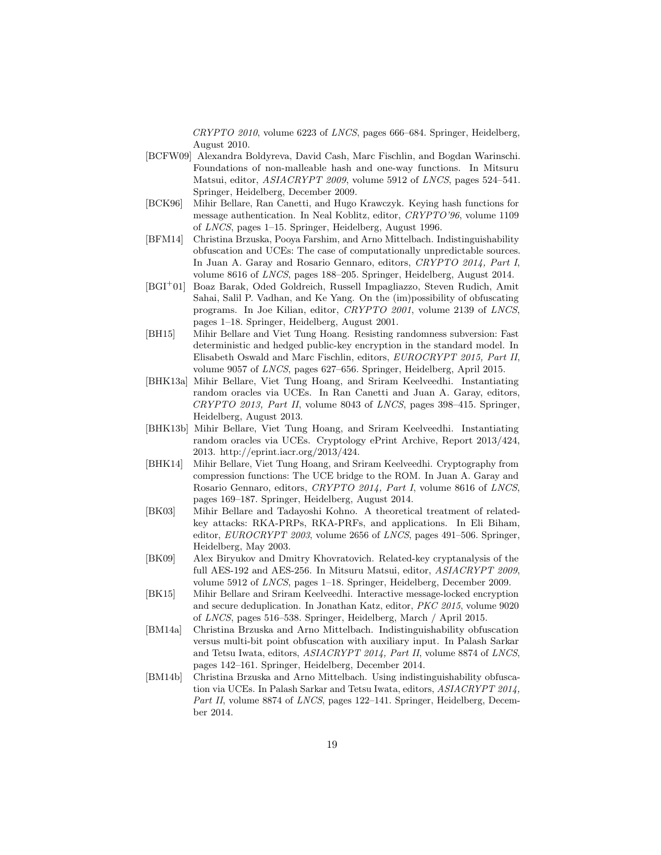$CRYPTO 2010$ , volume 6223 of *LNCS*, pages 666–684. Springer, Heidelberg, August 2010.

- [BCFW09] Alexandra Boldyreva, David Cash, Marc Fischlin, and Bogdan Warinschi. Foundations of non-malleable hash and one-way functions. In Mitsuru Matsui, editor, *ASIACRYPT 2009*, volume 5912 of *LNCS*, pages 524–541. Springer, Heidelberg, December 2009.
- [BCK96] Mihir Bellare, Ran Canetti, and Hugo Krawczyk. Keying hash functions for message authentication. In Neal Koblitz, editor, CRYPTO'96, volume 1109 of LNCS, pages 1–15. Springer, Heidelberg, August 1996.
- [BFM14] Christina Brzuska, Pooya Farshim, and Arno Mittelbach. Indistinguishability obfuscation and UCEs: The case of computationally unpredictable sources. In Juan A. Garay and Rosario Gennaro, editors, CRYPTO 2014, Part I, volume 8616 of LNCS, pages 188–205. Springer, Heidelberg, August 2014.
- [BGI<sup>+</sup>01] Boaz Barak, Oded Goldreich, Russell Impagliazzo, Steven Rudich, Amit Sahai, Salil P. Vadhan, and Ke Yang. On the (im)possibility of obfuscating programs. In Joe Kilian, editor, CRYPTO 2001, volume 2139 of LNCS, pages 1–18. Springer, Heidelberg, August 2001.
- [BH15] Mihir Bellare and Viet Tung Hoang. Resisting randomness subversion: Fast deterministic and hedged public-key encryption in the standard model. In Elisabeth Oswald and Marc Fischlin, editors, EUROCRYPT 2015, Part II, volume 9057 of LNCS, pages 627–656. Springer, Heidelberg, April 2015.
- [BHK13a] Mihir Bellare, Viet Tung Hoang, and Sriram Keelveedhi. Instantiating random oracles via UCEs. In Ran Canetti and Juan A. Garay, editors, CRYPTO 2013, Part II, volume 8043 of LNCS, pages 398–415. Springer, Heidelberg, August 2013.
- [BHK13b] Mihir Bellare, Viet Tung Hoang, and Sriram Keelveedhi. Instantiating random oracles via UCEs. Cryptology ePrint Archive, Report 2013/424, 2013. http://eprint.iacr.org/2013/424.
- [BHK14] Mihir Bellare, Viet Tung Hoang, and Sriram Keelveedhi. Cryptography from compression functions: The UCE bridge to the ROM. In Juan A. Garay and Rosario Gennaro, editors, CRYPTO 2014, Part I, volume 8616 of LNCS, pages 169–187. Springer, Heidelberg, August 2014.
- [BK03] Mihir Bellare and Tadayoshi Kohno. A theoretical treatment of relatedkey attacks: RKA-PRPs, RKA-PRFs, and applications. In Eli Biham, editor, EUROCRYPT 2003, volume 2656 of LNCS, pages 491-506. Springer, Heidelberg, May 2003.
- [BK09] Alex Biryukov and Dmitry Khovratovich. Related-key cryptanalysis of the full AES-192 and AES-256. In Mitsuru Matsui, editor, ASIACRYPT 2009, volume 5912 of LNCS, pages 1–18. Springer, Heidelberg, December 2009.
- [BK15] Mihir Bellare and Sriram Keelveedhi. Interactive message-locked encryption and secure deduplication. In Jonathan Katz, editor, PKC 2015, volume 9020 of LNCS, pages 516–538. Springer, Heidelberg, March / April 2015.
- [BM14a] Christina Brzuska and Arno Mittelbach. Indistinguishability obfuscation versus multi-bit point obfuscation with auxiliary input. In Palash Sarkar and Tetsu Iwata, editors, ASIACRYPT 2014, Part II, volume 8874 of LNCS, pages 142–161. Springer, Heidelberg, December 2014.
- [BM14b] Christina Brzuska and Arno Mittelbach. Using indistinguishability obfuscation via UCEs. In Palash Sarkar and Tetsu Iwata, editors, ASIACRYPT 2014, Part II, volume 8874 of LNCS, pages 122–141. Springer, Heidelberg, December 2014.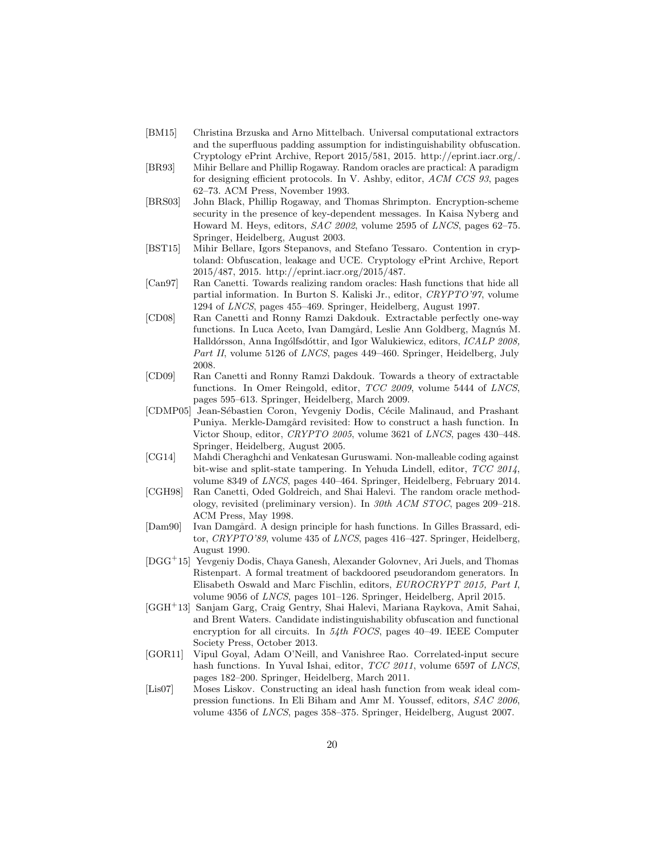- [BM15] Christina Brzuska and Arno Mittelbach. Universal computational extractors and the superfluous padding assumption for indistinguishability obfuscation. Cryptology ePrint Archive, Report 2015/581, 2015. http://eprint.iacr.org/.
- [BR93] Mihir Bellare and Phillip Rogaway. Random oracles are practical: A paradigm for designing efficient protocols. In V. Ashby, editor, ACM CCS 93, pages 62–73. ACM Press, November 1993.
- [BRS03] John Black, Phillip Rogaway, and Thomas Shrimpton. Encryption-scheme security in the presence of key-dependent messages. In Kaisa Nyberg and Howard M. Heys, editors, SAC 2002, volume 2595 of LNCS, pages 62-75. Springer, Heidelberg, August 2003.
- [BST15] Mihir Bellare, Igors Stepanovs, and Stefano Tessaro. Contention in cryptoland: Obfuscation, leakage and UCE. Cryptology ePrint Archive, Report 2015/487, 2015. http://eprint.iacr.org/2015/487.
- [Can97] Ran Canetti. Towards realizing random oracles: Hash functions that hide all partial information. In Burton S. Kaliski Jr., editor, CRYPTO'97, volume 1294 of LNCS, pages 455–469. Springer, Heidelberg, August 1997.
- [CD08] Ran Canetti and Ronny Ramzi Dakdouk. Extractable perfectly one-way functions. In Luca Aceto, Ivan Damgård, Leslie Ann Goldberg, Magnús M. Halldórsson, Anna Ingólfsdóttir, and Igor Walukiewicz, editors, ICALP 2008, Part II, volume 5126 of LNCS, pages 449–460. Springer, Heidelberg, July 2008.
- [CD09] Ran Canetti and Ronny Ramzi Dakdouk. Towards a theory of extractable functions. In Omer Reingold, editor, TCC 2009, volume 5444 of LNCS, pages 595–613. Springer, Heidelberg, March 2009.
- [CDMP05] Jean-Sébastien Coron, Yevgeniy Dodis, Cécile Malinaud, and Prashant Puniya. Merkle-Damgård revisited: How to construct a hash function. In Victor Shoup, editor, CRYPTO 2005, volume 3621 of LNCS, pages 430-448. Springer, Heidelberg, August 2005.
- [CG14] Mahdi Cheraghchi and Venkatesan Guruswami. Non-malleable coding against bit-wise and split-state tampering. In Yehuda Lindell, editor, TCC 2014, volume 8349 of LNCS, pages 440–464. Springer, Heidelberg, February 2014.
- [CGH98] Ran Canetti, Oded Goldreich, and Shai Halevi. The random oracle methodology, revisited (preliminary version). In 30th ACM STOC, pages 209–218. ACM Press, May 1998.
- [Dam90] Ivan Damgård. A design principle for hash functions. In Gilles Brassard, editor, CRYPTO'89, volume 435 of LNCS, pages 416–427. Springer, Heidelberg, August 1990.
- [DGG<sup>+</sup>15] Yevgeniy Dodis, Chaya Ganesh, Alexander Golovnev, Ari Juels, and Thomas Ristenpart. A formal treatment of backdoored pseudorandom generators. In Elisabeth Oswald and Marc Fischlin, editors, EUROCRYPT 2015, Part I, volume 9056 of LNCS, pages 101–126. Springer, Heidelberg, April 2015.
- [GGH<sup>+</sup>13] Sanjam Garg, Craig Gentry, Shai Halevi, Mariana Raykova, Amit Sahai, and Brent Waters. Candidate indistinguishability obfuscation and functional encryption for all circuits. In  $54th$  FOCS, pages 40–49. IEEE Computer Society Press, October 2013.
- [GOR11] Vipul Goyal, Adam O'Neill, and Vanishree Rao. Correlated-input secure hash functions. In Yuval Ishai, editor, TCC 2011, volume 6597 of LNCS, pages 182–200. Springer, Heidelberg, March 2011.
- [Lis07] Moses Liskov. Constructing an ideal hash function from weak ideal compression functions. In Eli Biham and Amr M. Youssef, editors, SAC 2006, volume 4356 of LNCS, pages 358–375. Springer, Heidelberg, August 2007.